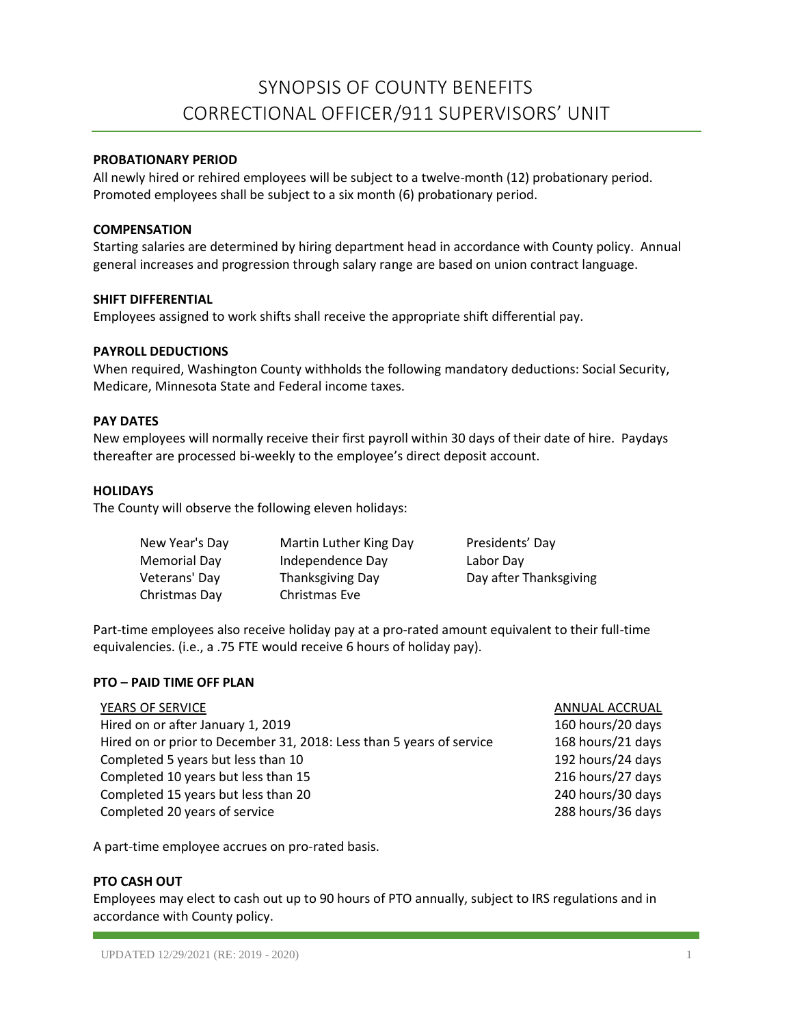# SYNOPSIS OF COUNTY BENEFITS CORRECTIONAL OFFICER/911 SUPERVISORS' UNIT

# **PROBATIONARY PERIOD**

All newly hired or rehired employees will be subject to a twelve-month (12) probationary period. Promoted employees shall be subject to a six month (6) probationary period.

#### **COMPENSATION**

Starting salaries are determined by hiring department head in accordance with County policy. Annual general increases and progression through salary range are based on union contract language.

## **SHIFT DIFFERENTIAL**

Employees assigned to work shifts shall receive the appropriate shift differential pay.

#### **PAYROLL DEDUCTIONS**

When required, Washington County withholds the following mandatory deductions: Social Security, Medicare, Minnesota State and Federal income taxes.

## **PAY DATES**

New employees will normally receive their first payroll within 30 days of their date of hire. Paydays thereafter are processed bi-weekly to the employee's direct deposit account.

## **HOLIDAYS**

The County will observe the following eleven holidays:

| New Year's Day | Martin Luther King Day | Presidents' Day        |
|----------------|------------------------|------------------------|
| Memorial Day   | Independence Day       | Labor Day              |
| Veterans' Day  | Thanksgiving Day       | Day after Thanksgiving |
| Christmas Day  | Christmas Eve          |                        |

Part-time employees also receive holiday pay at a pro-rated amount equivalent to their full-time equivalencies. (i.e., a .75 FTE would receive 6 hours of holiday pay).

#### **PTO – PAID TIME OFF PLAN**

| YEARS OF SERVICE                                                     | ANNUAL ACCRUAL    |
|----------------------------------------------------------------------|-------------------|
| Hired on or after January 1, 2019                                    | 160 hours/20 days |
| Hired on or prior to December 31, 2018: Less than 5 years of service | 168 hours/21 days |
| Completed 5 years but less than 10                                   | 192 hours/24 days |
| Completed 10 years but less than 15                                  | 216 hours/27 days |
| Completed 15 years but less than 20                                  | 240 hours/30 days |
| Completed 20 years of service                                        | 288 hours/36 days |

A part-time employee accrues on pro-rated basis.

#### **PTO CASH OUT**

Employees may elect to cash out up to 90 hours of PTO annually, subject to IRS regulations and in accordance with County policy.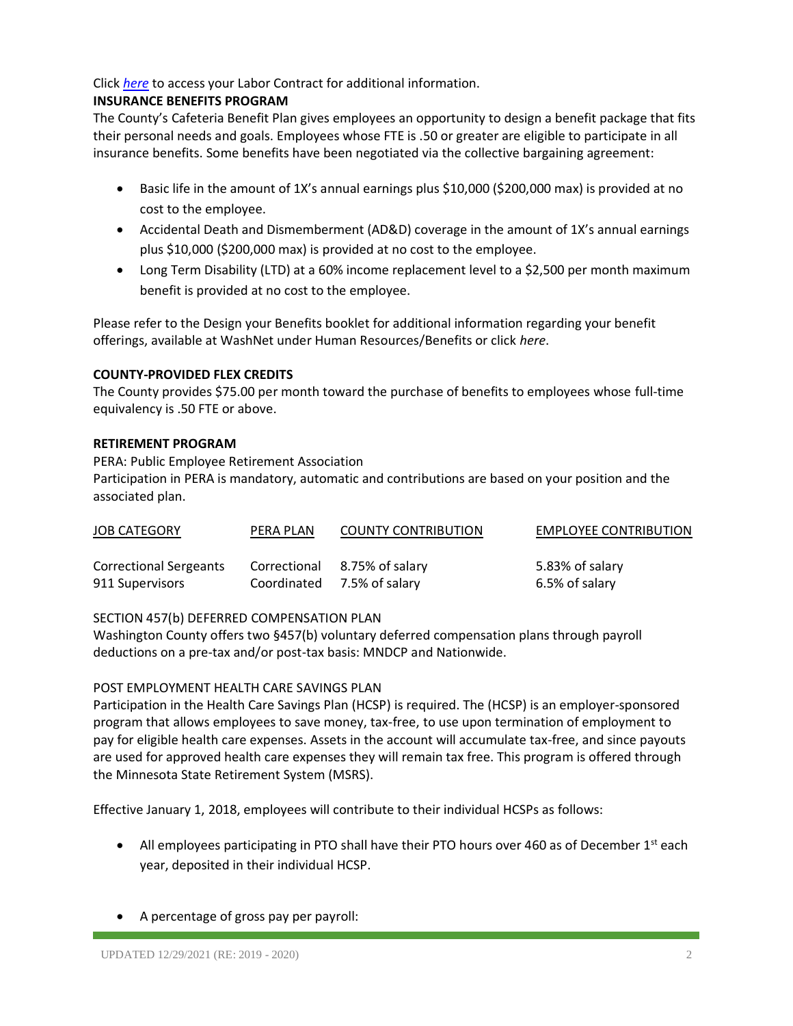Click *[here](https://washnet.co.washington.mn.us/depts/hr/labagre/IntraCon/CO911%20Supervisors%20Contract.pdf)* to access your Labor Contract for additional information.

# **INSURANCE BENEFITS PROGRAM**

The County's Cafeteria Benefit Plan gives employees an opportunity to design a benefit package that fits their personal needs and goals. Employees whose FTE is .50 or greater are eligible to participate in all insurance benefits. Some benefits have been negotiated via the collective bargaining agreement:

- Basic life in the amount of 1X's annual earnings plus \$10,000 (\$200,000 max) is provided at no cost to the employee.
- Accidental Death and Dismemberment (AD&D) coverage in the amount of 1X's annual earnings plus \$10,000 (\$200,000 max) is provided at no cost to the employee.
- Long Term Disability (LTD) at a 60% income replacement level to a \$2,500 per month maximum benefit is provided at no cost to the employee.

Please refer to the Design your Benefits booklet for additional information regarding your benefit offerings, available at WashNet under Human Resources/Benefits or click *here*.

# **COUNTY-PROVIDED FLEX CREDITS**

The County provides \$75.00 per month toward the purchase of benefits to employees whose full-time equivalency is .50 FTE or above.

# **RETIREMENT PROGRAM**

PERA: Public Employee Retirement Association Participation in PERA is mandatory, automatic and contributions are based on your position and the associated plan.

| <b>JOB CATEGORY</b>    | PERA PLAN    | <b>COUNTY CONTRIBUTION</b> | <b>EMPLOYEE CONTRIBUTION</b> |
|------------------------|--------------|----------------------------|------------------------------|
| Correctional Sergeants | Correctional | 8.75% of salary            | 5.83% of salary              |
| 911 Supervisors        |              | Coordinated 7.5% of salary | 6.5% of salary               |

# SECTION 457(b) DEFERRED COMPENSATION PLAN

Washington County offers two §457(b) voluntary deferred compensation plans through payroll deductions on a pre-tax and/or post-tax basis: MNDCP and Nationwide.

# POST EMPLOYMENT HEALTH CARE SAVINGS PLAN

Participation in the Health Care Savings Plan (HCSP) is required. The (HCSP) is an employer-sponsored program that allows employees to save money, tax-free, to use upon termination of employment to pay for eligible health care expenses. Assets in the account will accumulate tax-free, and since payouts are used for approved health care expenses they will remain tax free. This program is offered through the Minnesota State Retirement System (MSRS).

Effective January 1, 2018, employees will contribute to their individual HCSPs as follows:

- All employees participating in PTO shall have their PTO hours over 460 as of December 1<sup>st</sup> each year, deposited in their individual HCSP.
- A percentage of gross pay per payroll: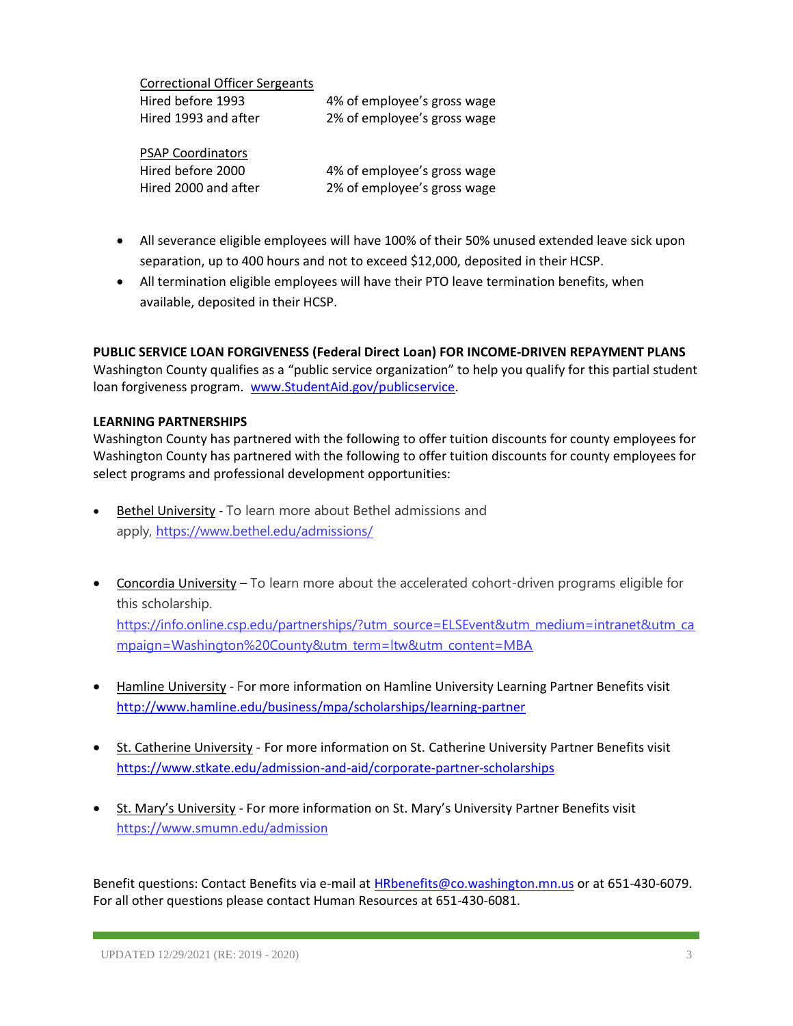| <b>Correctional Officer Sergeants</b> |                             |
|---------------------------------------|-----------------------------|
| Hired before 1993                     | 4% of employee's gross wage |
| Hired 1993 and after                  | 2% of employee's gross wage |
| <b>PSAP Coordinators</b>              |                             |
| Hired before 2000                     | 4% of employee's gross wage |
| Hired 2000 and after                  | 2% of employee's gross wage |

- All severance eligible employees will have 100% of their 50% unused extended leave sick upon separation, up to 400 hours and not to exceed \$12,000, deposited in their HCSP.
- All termination eligible employees will have their PTO leave termination benefits, when available, deposited in their HCSP.

# **PUBLIC SERVICE LOAN FORGIVENESS (Federal Direct Loan) FOR INCOME-DRIVEN REPAYMENT PLANS**

Washington County qualifies as a "public service organization" to help you qualify for this partial student loan forgiveness program. [www.StudentAid.gov/publicservice.](http://www.studentaid.gov/publicservice)

## **LEARNING PARTNERSHIPS**

Washington County has partnered with the following to offer tuition discounts for county employees for Washington County has partnered with the following to offer tuition discounts for county employees for select programs and professional development opportunities:

- Bethel University To learn more about Bethel admissions and apply, <https://www.bethel.edu/admissions/>
- Concordia University To learn more about the accelerated cohort-driven programs eligible for this scholarship.

[https://info.online.csp.edu/partnerships/?utm\\_source=ELSEvent&utm\\_medium=intranet&utm\\_ca](https://info.online.csp.edu/partnerships/?utm_source=ELSEvent&utm_medium=intranet&utm_campaign=Washington%20County&utm_term=ltw&utm_content=MBA) [mpaign=Washington%20County&utm\\_term=ltw&utm\\_content=MBA](https://info.online.csp.edu/partnerships/?utm_source=ELSEvent&utm_medium=intranet&utm_campaign=Washington%20County&utm_term=ltw&utm_content=MBA)

- Hamline University For more information on Hamline University Learning Partner Benefits visit <http://www.hamline.edu/business/mpa/scholarships/learning-partner>
- St. Catherine University For more information on St. Catherine University Partner Benefits visit <https://www.stkate.edu/admission-and-aid/corporate-partner-scholarships>
- St. Mary's University For more information on St. Mary's University Partner Benefits visit <https://www.smumn.edu/admission>

Benefit questions: Contact Benefits via e-mail at [HRbenefits@co.washington.mn.us](mailto:HRbenefits@co.washington.mn.us) or at 651-430-6079. For all other questions please contact Human Resources at 651-430-6081.